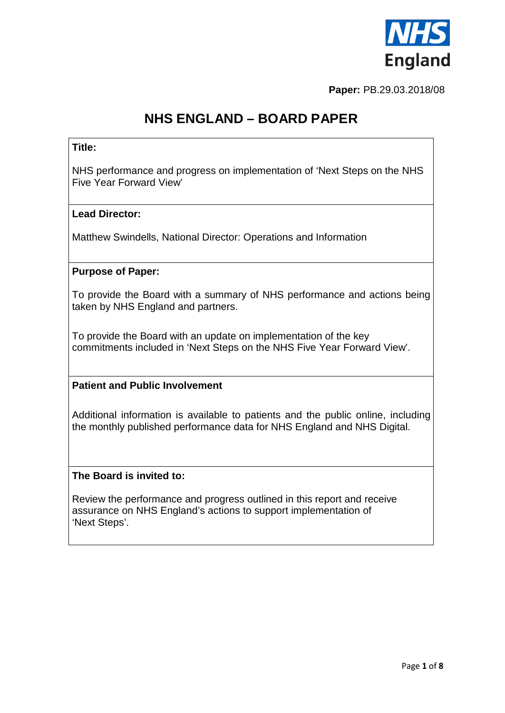

**Paper:** PB.29.03.2018/08

# **NHS ENGLAND – BOARD PAPER**

### **Title:**

NHS performance and progress on implementation of 'Next Steps on the NHS Five Year Forward View'

#### **Lead Director:**

Matthew Swindells, National Director: Operations and Information

#### **Purpose of Paper:**

To provide the Board with a summary of NHS performance and actions being taken by NHS England and partners.

To provide the Board with an update on implementation of the key commitments included in 'Next Steps on the NHS Five Year Forward View'.

### **Patient and Public Involvement**

Additional information is available to patients and the public online, including the monthly published performance data for NHS England and NHS Digital.

### **The Board is invited to:**

<span id="page-0-0"></span>Review the performance and progress outlined in this report and receive assurance on NHS England's actions to support implementation of 'Next Steps'.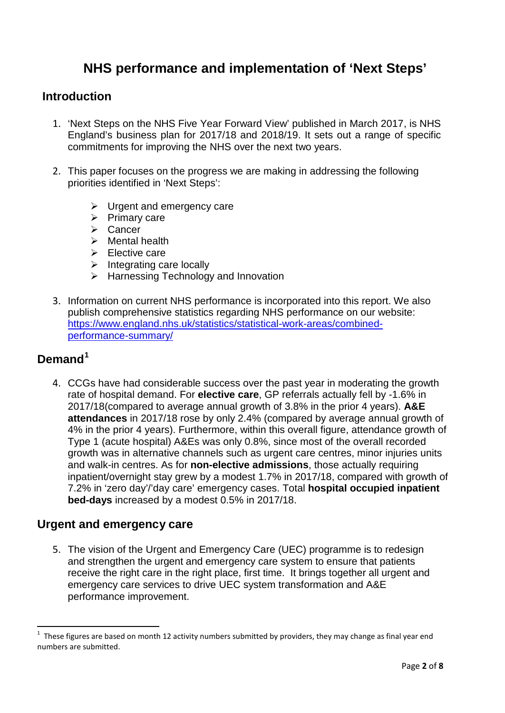# **NHS performance and implementation of 'Next Steps'**

## **Introduction**

- 1. 'Next Steps on the NHS Five Year Forward View' published in March 2017, is NHS England's business plan for 2017/18 and 2018/19. It sets out a range of specific commitments for improving the NHS over the next two years.
- 2. This paper focuses on the progress we are making in addressing the following priorities identified in 'Next Steps':
	- $\triangleright$  Urgent and emergency care
	- $\triangleright$  Primary care
	- $\triangleright$  Cancer
	- $\triangleright$  Mental health
	- $\triangleright$  Elective care
	- $\triangleright$  Integrating care locally
	- $\triangleright$  Harnessing Technology and Innovation
- 3. Information on current NHS performance is incorporated into this report. We also publish comprehensive statistics regarding NHS performance on our website: [https://www.england.nhs.uk/statistics/statistical-work-areas/combined](https://www.england.nhs.uk/statistics/statistical-work-areas/combined-performance-summary/)[performance-summary/](https://www.england.nhs.uk/statistics/statistical-work-areas/combined-performance-summary/)

# **Demand[1](#page-0-0)**

4. CCGs have had considerable success over the past year in moderating the growth rate of hospital demand. For **elective care**, GP referrals actually fell by -1.6% in 2017/18(compared to average annual growth of 3.8% in the prior 4 years). **A&E attendances** in 2017/18 rose by only 2.4% (compared by average annual growth of 4% in the prior 4 years). Furthermore, within this overall figure, attendance growth of Type 1 (acute hospital) A&Es was only 0.8%, since most of the overall recorded growth was in alternative channels such as urgent care centres, minor injuries units and walk-in centres. As for **non-elective admissions**, those actually requiring inpatient/overnight stay grew by a modest 1.7% in 2017/18, compared with growth of 7.2% in 'zero day'/'day care' emergency cases. Total **hospital occupied inpatient bed-days** increased by a modest 0.5% in 2017/18.

## **Urgent and emergency care**

5. The vision of the Urgent and Emergency Care (UEC) programme is to redesign and strengthen the urgent and emergency care system to ensure that patients receive the right care in the right place, first time. It brings together all urgent and emergency care services to drive UEC system transformation and A&E performance improvement.

 $\overline{1}$  These figures are based on month 12 activity numbers submitted by providers, they may change as final year end numbers are submitted.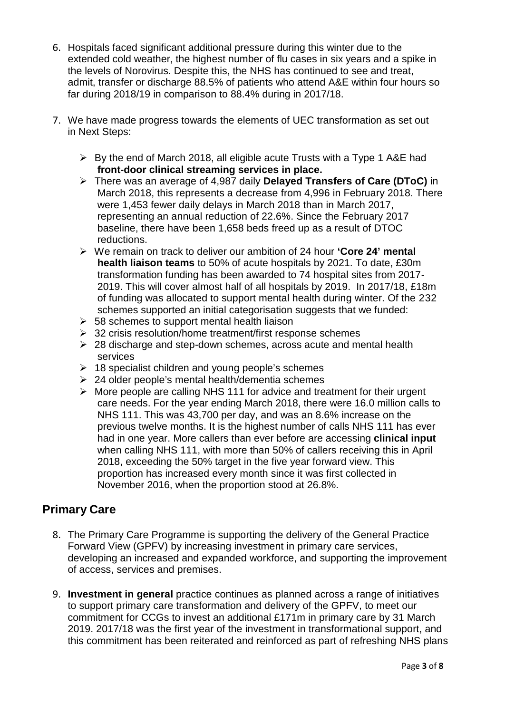- 6. Hospitals faced significant additional pressure during this winter due to the extended cold weather, the highest number of flu cases in six years and a spike in the levels of Norovirus. Despite this, the NHS has continued to see and treat, admit, transfer or discharge 88.5% of patients who attend A&E within four hours so far during 2018/19 in comparison to 88.4% during in 2017/18.
- 7. We have made progress towards the elements of UEC transformation as set out in Next Steps:
	- $\triangleright$  By the end of March 2018, all eligible acute Trusts with a Type 1 A&E had **front-door clinical streaming services in place.**
	- There was an average of 4,987 daily **Delayed Transfers of Care (DToC)** in March 2018, this represents a decrease from 4,996 in February 2018. There were 1,453 fewer daily delays in March 2018 than in March 2017, representing an annual reduction of 22.6%. Since the February 2017 baseline, there have been 1,658 beds freed up as a result of DTOC reductions.
	- We remain on track to deliver our ambition of 24 hour **'Core 24' mental health liaison teams** to 50% of acute hospitals by 2021. To date, £30m transformation funding has been awarded to 74 hospital sites from 2017- 2019. This will cover almost half of all hospitals by 2019. In 2017/18, £18m of funding was allocated to support mental health during winter. Of the 232 schemes supported an initial categorisation suggests that we funded:
	- $\geq$  58 schemes to support mental health liaison
	- $\geq$  32 crisis resolution/home treatment/first response schemes
	- $\geq$  28 discharge and step-down schemes, across acute and mental health services
	- $\geq$  18 specialist children and young people's schemes
	- $\geq$  24 older people's mental health/dementia schemes
	- More people are calling NHS 111 for advice and treatment for their urgent care needs. For the year ending March 2018, there were 16.0 million calls to NHS 111. This was 43,700 per day, and was an 8.6% increase on the previous twelve months. It is the highest number of calls NHS 111 has ever had in one year. More callers than ever before are accessing **clinical input**  when calling NHS 111, with more than 50% of callers receiving this in April 2018, exceeding the 50% target in the five year forward view. This proportion has increased every month since it was first collected in November 2016, when the proportion stood at 26.8%.

## **Primary Care**

- 8. The Primary Care Programme is supporting the delivery of the General Practice Forward View (GPFV) by increasing investment in primary care services, developing an increased and expanded workforce, and supporting the improvement of access, services and premises.
- 9. **Investment in general** practice continues as planned across a range of initiatives to support primary care transformation and delivery of the GPFV, to meet our commitment for CCGs to invest an additional £171m in primary care by 31 March 2019. 2017/18 was the first year of the investment in transformational support, and this commitment has been reiterated and reinforced as part of refreshing NHS plans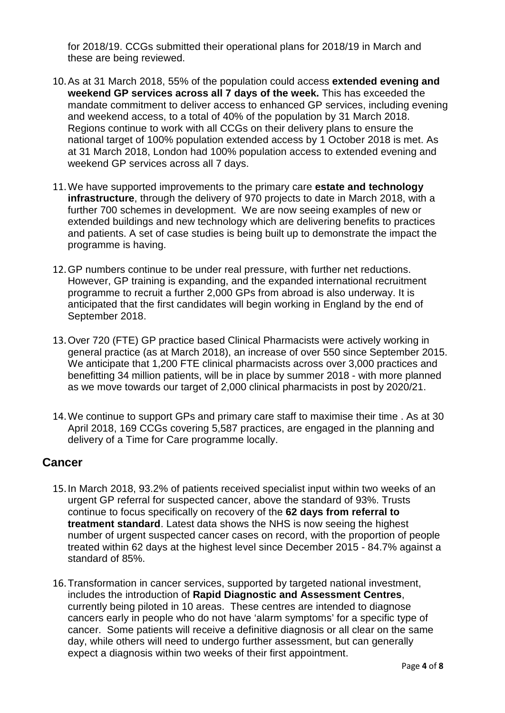for 2018/19. CCGs submitted their operational plans for 2018/19 in March and these are being reviewed.

- 10.As at 31 March 2018, 55% of the population could access **extended evening and weekend GP services across all 7 days of the week.** This has exceeded the mandate commitment to deliver access to enhanced GP services, including evening and weekend access, to a total of 40% of the population by 31 March 2018. Regions continue to work with all CCGs on their delivery plans to ensure the national target of 100% population extended access by 1 October 2018 is met. As at 31 March 2018, London had 100% population access to extended evening and weekend GP services across all 7 days.
- 11.We have supported improvements to the primary care **estate and technology infrastructure**, through the delivery of 970 projects to date in March 2018, with a further 700 schemes in development. We are now seeing examples of new or extended buildings and new technology which are delivering benefits to practices and patients. A set of case studies is being built up to demonstrate the impact the programme is having.
- 12.GP numbers continue to be under real pressure, with further net reductions. However, GP training is expanding, and the expanded international recruitment programme to recruit a further 2,000 GPs from abroad is also underway. It is anticipated that the first candidates will begin working in England by the end of September 2018.
- 13.Over 720 (FTE) GP practice based Clinical Pharmacists were actively working in general practice (as at March 2018), an increase of over 550 since September 2015. We anticipate that 1,200 FTE clinical pharmacists across over 3,000 practices and benefitting 34 million patients, will be in place by summer 2018 - with more planned as we move towards our target of 2,000 clinical pharmacists in post by 2020/21.
- 14.We continue to support GPs and primary care staff to maximise their time . As at 30 April 2018, 169 CCGs covering 5,587 practices, are engaged in the planning and delivery of a Time for Care programme locally.

## **Cancer**

- 15.In March 2018, 93.2% of patients received specialist input within two weeks of an urgent GP referral for suspected cancer, above the standard of 93%. Trusts continue to focus specifically on recovery of the **62 days from referral to treatment standard**. Latest data shows the NHS is now seeing the highest number of urgent suspected cancer cases on record, with the proportion of people treated within 62 days at the highest level since December 2015 - 84.7% against a standard of 85%.
- 16.Transformation in cancer services, supported by targeted national investment, includes the introduction of **Rapid Diagnostic and Assessment Centres**, currently being piloted in 10 areas. These centres are intended to diagnose cancers early in people who do not have 'alarm symptoms' for a specific type of cancer. Some patients will receive a definitive diagnosis or all clear on the same day, while others will need to undergo further assessment, but can generally expect a diagnosis within two weeks of their first appointment.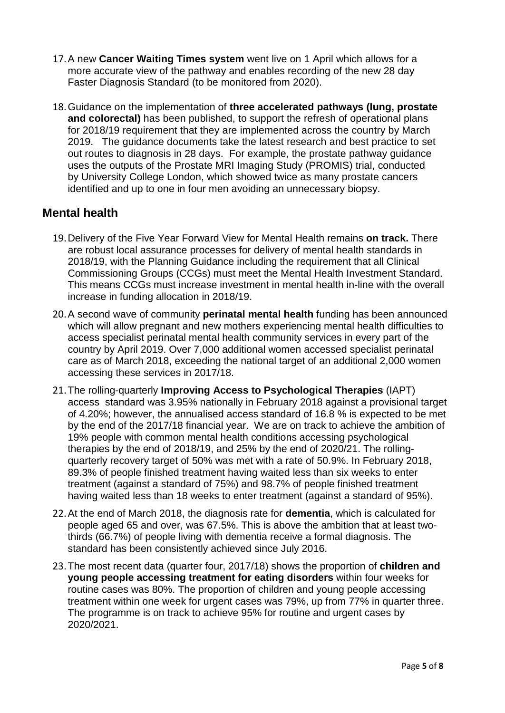- 17.A new **Cancer Waiting Times system** went live on 1 April which allows for a more accurate view of the pathway and enables recording of the new 28 day Faster Diagnosis Standard (to be monitored from 2020).
- 18.Guidance on the implementation of **three accelerated pathways (lung, prostate and colorectal)** has been published, to support the refresh of operational plans for 2018/19 requirement that they are implemented across the country by March 2019. The guidance documents take the latest research and best practice to set out routes to diagnosis in 28 days. For example, the prostate pathway guidance uses the outputs of the Prostate MRI Imaging Study (PROMIS) trial, conducted by University College London, which showed twice as many prostate cancers identified and up to one in four men avoiding an unnecessary biopsy.

### **Mental health**

- 19.Delivery of the Five Year Forward View for Mental Health remains **on track.** There are robust local assurance processes for delivery of mental health standards in 2018/19, with the Planning Guidance including the requirement that all Clinical Commissioning Groups (CCGs) must meet the Mental Health Investment Standard. This means CCGs must increase investment in mental health in-line with the overall increase in funding allocation in 2018/19.
- 20.A second wave of community **perinatal mental health** funding has been announced which will allow pregnant and new mothers experiencing mental health difficulties to access specialist perinatal mental health community services in every part of the country by April 2019. Over 7,000 additional women accessed specialist perinatal care as of March 2018, exceeding the national target of an additional 2,000 women accessing these services in 2017/18.
- 21.The rolling-quarterly **Improving Access to Psychological Therapies** (IAPT) access standard was 3.95% nationally in February 2018 against a provisional target of 4.20%; however, the annualised access standard of 16.8 % is expected to be met by the end of the 2017/18 financial year. We are on track to achieve the ambition of 19% people with common mental health conditions accessing psychological therapies by the end of 2018/19, and 25% by the end of 2020/21. The rollingquarterly recovery target of 50% was met with a rate of 50.9%. In February 2018, 89.3% of people finished treatment having waited less than six weeks to enter treatment (against a standard of 75%) and 98.7% of people finished treatment having waited less than 18 weeks to enter treatment (against a standard of 95%).
- 22.At the end of March 2018, the diagnosis rate for **dementia**, which is calculated for people aged 65 and over, was 67.5%. This is above the ambition that at least twothirds (66.7%) of people living with dementia receive a formal diagnosis. The standard has been consistently achieved since July 2016.
- 23.The most recent data (quarter four, 2017/18) shows the proportion of **children and young people accessing treatment for eating disorders** within four weeks for routine cases was 80%. The proportion of children and young people accessing treatment within one week for urgent cases was 79%, up from 77% in quarter three. The programme is on track to achieve 95% for routine and urgent cases by 2020/2021.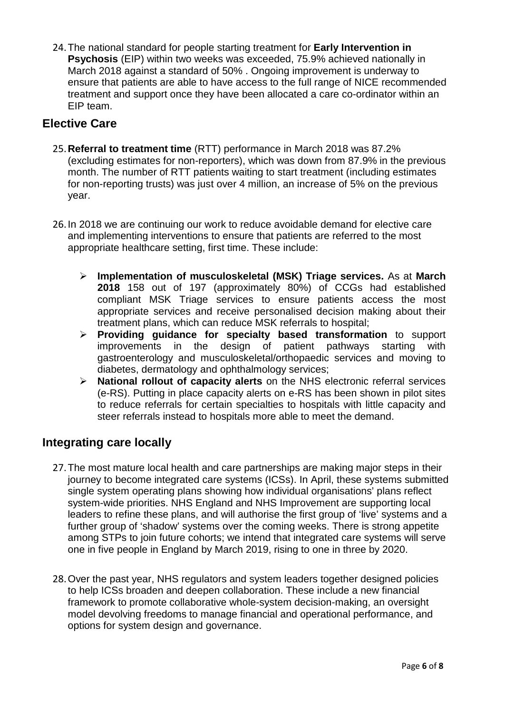24.The national standard for people starting treatment for **Early Intervention in Psychosis** (EIP) within two weeks was exceeded, 75.9% achieved nationally in March 2018 against a standard of 50% . Ongoing improvement is underway to ensure that patients are able to have access to the full range of NICE recommended treatment and support once they have been allocated a care co-ordinator within an EIP team.

# **Elective Care**

- 25.**Referral to treatment time** (RTT) performance in March 2018 was 87.2% (excluding estimates for non-reporters), which was down from 87.9% in the previous month. The number of RTT patients waiting to start treatment (including estimates for non-reporting trusts) was just over 4 million, an increase of 5% on the previous year.
- 26.In 2018 we are continuing our work to reduce avoidable demand for elective care and implementing interventions to ensure that patients are referred to the most appropriate healthcare setting, first time. These include:
	- **Implementation of musculoskeletal (MSK) Triage services.** As at **March 2018** 158 out of 197 (approximately 80%) of CCGs had established compliant MSK Triage services to ensure patients access the most appropriate services and receive personalised decision making about their treatment plans, which can reduce MSK referrals to hospital;
	- **Providing guidance for specialty based transformation** to support improvements in the design of patient pathways starting with gastroenterology and musculoskeletal/orthopaedic services and moving to diabetes, dermatology and ophthalmology services;
	- **National rollout of capacity alerts** on the NHS electronic referral services (e-RS). Putting in place capacity alerts on e-RS has been shown in pilot sites to reduce referrals for certain specialties to hospitals with little capacity and steer referrals instead to hospitals more able to meet the demand.

# **Integrating care locally**

- 27.The most mature local health and care partnerships are making major steps in their journey to become integrated care systems (ICSs). In April, these systems submitted single system operating plans showing how individual organisations' plans reflect system-wide priorities. NHS England and NHS Improvement are supporting local leaders to refine these plans, and will authorise the first group of 'live' systems and a further group of 'shadow' systems over the coming weeks. There is strong appetite among STPs to join future cohorts; we intend that integrated care systems will serve one in five people in England by March 2019, rising to one in three by 2020.
- 28.Over the past year, NHS regulators and system leaders together designed policies to help ICSs broaden and deepen collaboration. These include a new financial framework to promote collaborative whole-system decision-making, an oversight model devolving freedoms to manage financial and operational performance, and options for system design and governance.